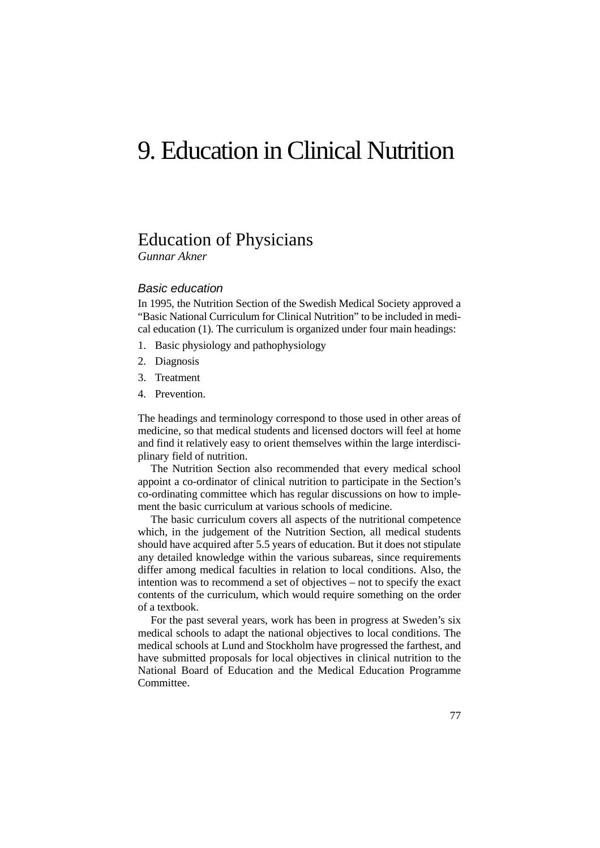# 9. Education in Clinical Nutrition

### Education of Physicians

*Gunnar Akner*

#### Basic education

In 1995, the Nutrition Section of the Swedish Medical Society approved a "Basic National Curriculum for Clinical Nutrition" to be included in medical education (1). The curriculum is organized under four main headings:

- 1. Basic physiology and pathophysiology
- 2. Diagnosis
- 3. Treatment
- 4. Prevention.

The headings and terminology correspond to those used in other areas of medicine, so that medical students and licensed doctors will feel at home and find it relatively easy to orient themselves within the large interdisciplinary field of nutrition.

The Nutrition Section also recommended that every medical school appoint a co-ordinator of clinical nutrition to participate in the Section's co-ordinating committee which has regular discussions on how to implement the basic curriculum at various schools of medicine.

The basic curriculum covers all aspects of the nutritional competence which, in the judgement of the Nutrition Section, all medical students should have acquired after 5.5 years of education. But it does not stipulate any detailed knowledge within the various subareas, since requirements differ among medical faculties in relation to local conditions. Also, the intention was to recommend a set of objectives – not to specify the exact contents of the curriculum, which would require something on the order of a textbook.

For the past several years, work has been in progress at Sweden's six medical schools to adapt the national objectives to local conditions. The medical schools at Lund and Stockholm have progressed the farthest, and have submitted proposals for local objectives in clinical nutrition to the National Board of Education and the Medical Education Programme Committee.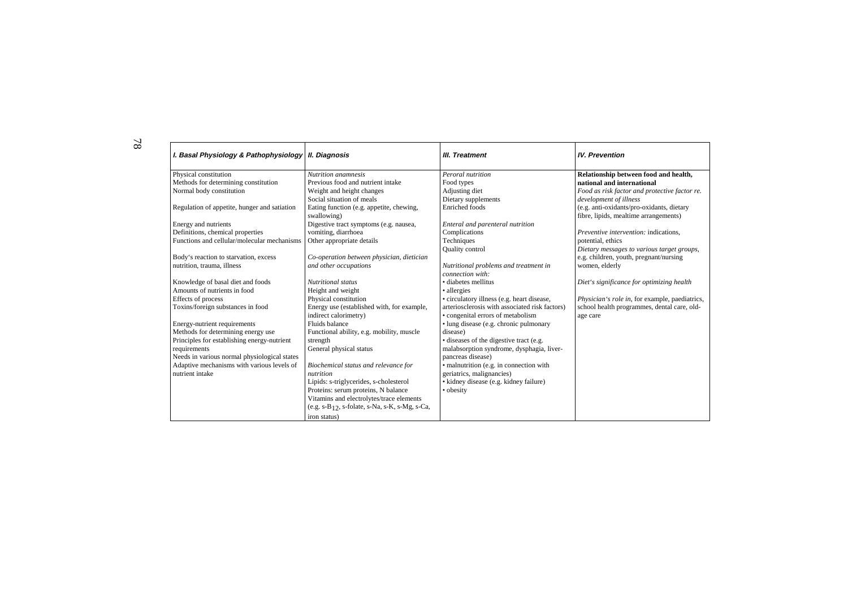T

| I.BasalPhysiology&Pathophysiology IIDiagnosis |                                           | <b>III.Treatment</b>                       | <b>IV.Prevention</b>                        |
|-----------------------------------------------|-------------------------------------------|--------------------------------------------|---------------------------------------------|
| Physicalconstitution                          | <b>Nutritionanamnesis</b>                 | Peroralnutrition                           | Relationshipbetweenfoodandhealth,           |
| Methodsfordeterminingconstitution             | Previousfoodandnutrientintake             | Foodtypes                                  | nationalandinternational                    |
| Normalbodyconstitution                        | Weightandheightchanges                    | Adjustingdiet                              | Foodasriskfactorandprotectivefactorre.      |
|                                               | Socialsituationofmeals                    | Dietarysupplements                         | developmentofillness                        |
| Regulationofappetite,hungerandsatiation       | Eatingfunction(e.g.appetite,chewing,      | Enrichedfoods                              | (e.g.anti-oxidants/pro-oxidants, dietary    |
|                                               | swallowing)                               |                                            | fibre, lipids, mealtimearrangements)        |
| Energyandnutrients                            | Digestivetractsymptoms(e.g.nausea,        | Enteralandparenteralnutrition              |                                             |
| Definitions, chemical properties              | vomiting, diarrhoea                       | Complications                              | Preventiveintervention: indications,        |
| Functionsandcellular/molecularmechanisms      | Otherappropriatedetails                   | Techniques                                 | potential, ethics                           |
|                                               |                                           | Qualitycontrol                             | Dietarymessagestovarioustargetgroups,       |
| Body'sreactiontostarvation, excess            | Co-operationbetweenphysician, dietician   |                                            | e.g.children,youth,pregnant/nursing         |
| nutrition, trauma, illness                    | andotheroccupations                       | Nutritionalproblemsandtreatmentin          | women, elderly                              |
|                                               |                                           | connectionwith:                            |                                             |
| Knowledgeofbasaldietandfoods                  | <b>Nutritionalstatus</b>                  | ·diabetesmellitus                          | Diet'ssignificanceforoptimizinghealth       |
| Amountsofnutrientsinfood                      | Heightandweight                           | •allergies                                 |                                             |
| Effectsofprocess                              | Physicalconstitution                      | •circulatoryillness(e.g.heartdisease,      | Physician'srolein, forexample, paediatrics, |
| Toxins/foreignsubstancesinfood                | Energyuse(establishedwith,forexample,     | arteriosclerosiswithassociatedriskfactors) | schoolhealthprogrammes, dentalcare, old-    |
|                                               | indirectcalorimetry)                      | •congenitalerrorsofmetabolism              | agecare                                     |
| Energy-nutrientrequirements                   | Fluidsbalance                             | •lungdisease(e.g.chronicpulmonary          |                                             |
| Methodsfordeterminingenergyuse                | Functionalability, e.g. mobility, muscle  | disease)                                   |                                             |
| Principlesforestablishing energy-nutrient     | strength                                  | ·diseasesofthedigestivetract(e.g.          |                                             |
| requirements                                  | Generalphysicalstatus                     | malabsorptionsyndrome, dysphagia, liver-   |                                             |
| Needsinvariousnormalphysiologicalstates       |                                           | pancreasdisease)                           |                                             |
| Adaptivemechanismswithvariouslevelsof         | Biochemicalstatusandrelevancefor          | ·malnutrition(e.g.inconnectionwith         |                                             |
| nutrientintake                                | nutrition                                 | geriatrics, malignancies)                  |                                             |
|                                               | Lipids:s-triglycerides,s-cholesterol      | •kidneydisease(e.g.kidneyfailure)          |                                             |
|                                               | Proteins:serumproteins,Nbalance           | •obesity                                   |                                             |
|                                               | Vitaminsandelectrolytes/traceelements     |                                            |                                             |
|                                               | $(e.g.s-B12,s-folate,s-Na,s-K,s-Mg,s-Ca,$ |                                            |                                             |
|                                               | <i>ironstatus</i> )                       |                                            |                                             |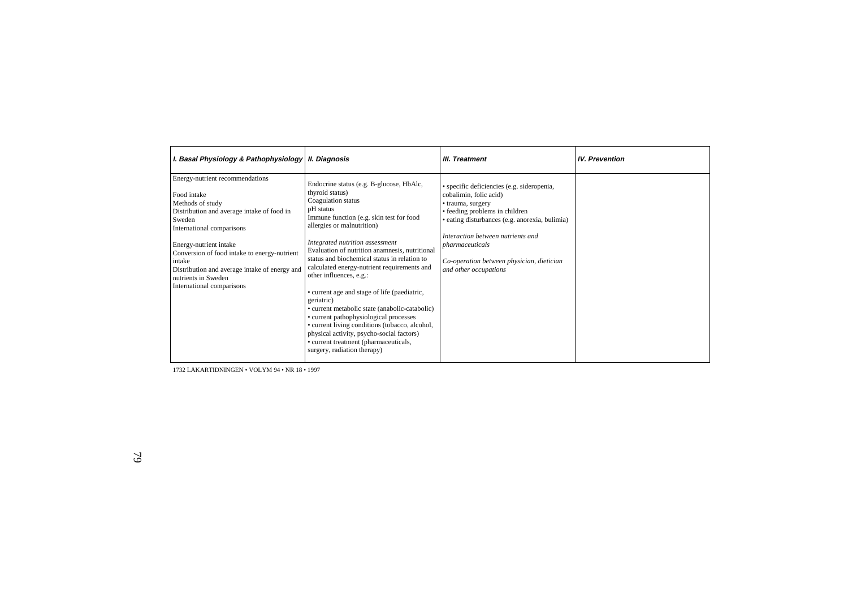| I.BasalPhysiology&Pathophysiology II.Diagnosis                                                                                                                                                                                                                                                                         |                                                                                                                                                                                                                                                                                                                                                                                                                                                                                                                                                                                                                                                                     | <b>III.Treatment</b>                                                                                                                                                                                                                                                                             | <b>IV.Prevention</b> |
|------------------------------------------------------------------------------------------------------------------------------------------------------------------------------------------------------------------------------------------------------------------------------------------------------------------------|---------------------------------------------------------------------------------------------------------------------------------------------------------------------------------------------------------------------------------------------------------------------------------------------------------------------------------------------------------------------------------------------------------------------------------------------------------------------------------------------------------------------------------------------------------------------------------------------------------------------------------------------------------------------|--------------------------------------------------------------------------------------------------------------------------------------------------------------------------------------------------------------------------------------------------------------------------------------------------|----------------------|
| Energy-nutrientrecommendations<br>Foodintake<br>Methodsofstudy<br>Distributionandaverageintakeoffoodin<br>Sweden<br>Internationalcomparisons<br>Energy-nutrientintake<br>Conversionoffoodintaketoenergy-nutrient<br>intake<br>Distributionandaverageintakeofenergyand<br>nutrientsinSweden<br>Internationalcomparisons | Endocrinestatus(e.g.B-glucose, HbAlc,<br>thyroidstatus)<br>Coagulationstatus<br>pHstatus<br>Immunefunction(e.g.skintestforfood<br>allergiesormalnutrition)<br>Integratednutritionassessment<br>Evaluationofnutritionanamnesis, nutritional<br>statusandbiochemicalstatusinrelationto<br>calculatedenergy-nutrientrequirementsand<br>otherinfluences, e.g.:<br>•currentageandstageoflife(paediatric,<br>geriatric)<br>•currentmetabolicstate(anabolic-catabolic)<br>•currentpathophysiologicalprocesses<br>•currentlivingconditions(tobacco, alcohol,<br>physicalactivity,psycho-socialfactors)<br>•currenttreatment(pharmaceuticals,<br>surgery, radiation therapy) | • specific deficiencies (e.g. sideropenia,<br>cobalimin, folicacid)<br>•trauma, surgery<br>•feedingproblemsinchildren<br>•eatingdisturbances(e.g.anorexia,bulimia)<br><i>Interactionbetweennutrientsand</i><br>pharmaceuticals<br>Co-operationbetweenphysician, dietician<br>andotheroccupations |                      |

1732 LÄKARTIDNINGEN • VOLYM 94 • NR 18 • 1997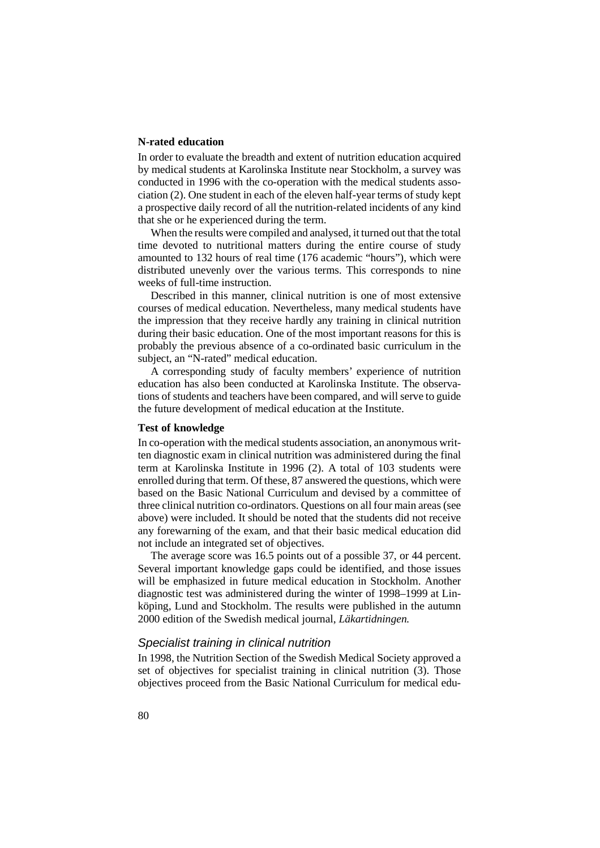#### **N-rated education**

In order to evaluate the breadth and extent of nutrition education acquired by medical students at Karolinska Institute near Stockholm, a survey was conducted in 1996 with the co-operation with the medical students association (2). One student in each of the eleven half-year terms of study kept a prospective daily record of all the nutrition-related incidents of any kind that she or he experienced during the term.

When the results were compiled and analysed, it turned out that the total time devoted to nutritional matters during the entire course of study amounted to 132 hours of real time (176 academic "hours"), which were distributed unevenly over the various terms. This corresponds to nine weeks of full-time instruction.

Described in this manner, clinical nutrition is one of most extensive courses of medical education. Nevertheless, many medical students have the impression that they receive hardly any training in clinical nutrition during their basic education. One of the most important reasons for this is probably the previous absence of a co-ordinated basic curriculum in the subject, an "N-rated" medical education.

A corresponding study of faculty members' experience of nutrition education has also been conducted at Karolinska Institute. The observations of students and teachers have been compared, and will serve to guide the future development of medical education at the Institute.

#### **Test of knowledge**

In co-operation with the medical students association, an anonymous written diagnostic exam in clinical nutrition was administered during the final term at Karolinska Institute in 1996 (2). A total of 103 students were enrolled during that term. Of these, 87 answered the questions, which were based on the Basic National Curriculum and devised by a committee of three clinical nutrition co-ordinators. Questions on all four main areas (see above) were included. It should be noted that the students did not receive any forewarning of the exam, and that their basic medical education did not include an integrated set of objectives.

The average score was 16.5 points out of a possible 37, or 44 percent. Several important knowledge gaps could be identified, and those issues will be emphasized in future medical education in Stockholm. Another diagnostic test was administered during the winter of 1998–1999 at Linköping, Lund and Stockholm. The results were published in the autumn 2000 edition of the Swedish medical journal, *Läkartidningen.*

#### Specialist training in clinical nutrition

In 1998, the Nutrition Section of the Swedish Medical Society approved a set of objectives for specialist training in clinical nutrition (3). Those objectives proceed from the Basic National Curriculum for medical edu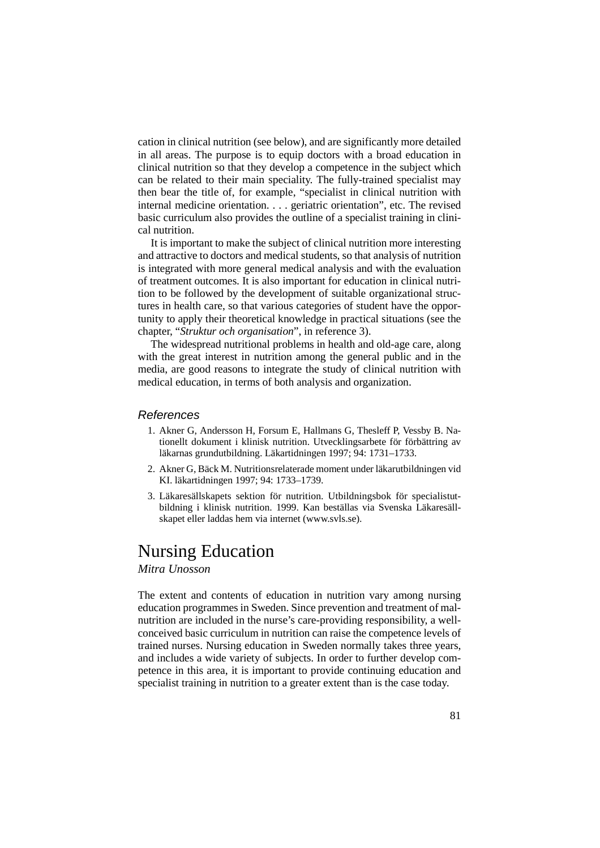cation in clinical nutrition (see below), and are significantly more detailed in all areas. The purpose is to equip doctors with a broad education in clinical nutrition so that they develop a competence in the subject which can be related to their main speciality. The fully-trained specialist may then bear the title of, for example, "specialist in clinical nutrition with internal medicine orientation. . . . geriatric orientation", etc. The revised basic curriculum also provides the outline of a specialist training in clinical nutrition.

It is important to make the subject of clinical nutrition more interesting and attractive to doctors and medical students, so that analysis of nutrition is integrated with more general medical analysis and with the evaluation of treatment outcomes. It is also important for education in clinical nutrition to be followed by the development of suitable organizational structures in health care, so that various categories of student have the opportunity to apply their theoretical knowledge in practical situations (see the chapter, "*Struktur och organisation*", in reference 3).

The widespread nutritional problems in health and old-age care, along with the great interest in nutrition among the general public and in the media, are good reasons to integrate the study of clinical nutrition with medical education, in terms of both analysis and organization.

#### References

- 1. Akner G, Andersson H, Forsum E, Hallmans G, Thesleff P, Vessby B. Nationellt dokument i klinisk nutrition. Utvecklingsarbete för förbättring av läkarnas grundutbildning. Läkartidningen 1997; 94: 1731–1733.
- 2. Akner G, Bäck M. Nutritionsrelaterade moment under läkarutbildningen vid KI. läkartidningen 1997; 94: 1733–1739.
- 3. Läkaresällskapets sektion för nutrition. Utbildningsbok för specialistutbildning i klinisk nutrition. 1999. Kan beställas via Svenska Läkaresällskapet eller laddas hem via internet (www.svls.se).

### Nursing Education

*Mitra Unosson*

The extent and contents of education in nutrition vary among nursing education programmes in Sweden. Since prevention and treatment of malnutrition are included in the nurse's care-providing responsibility, a wellconceived basic curriculum in nutrition can raise the competence levels of trained nurses. Nursing education in Sweden normally takes three years, and includes a wide variety of subjects. In order to further develop competence in this area, it is important to provide continuing education and specialist training in nutrition to a greater extent than is the case today.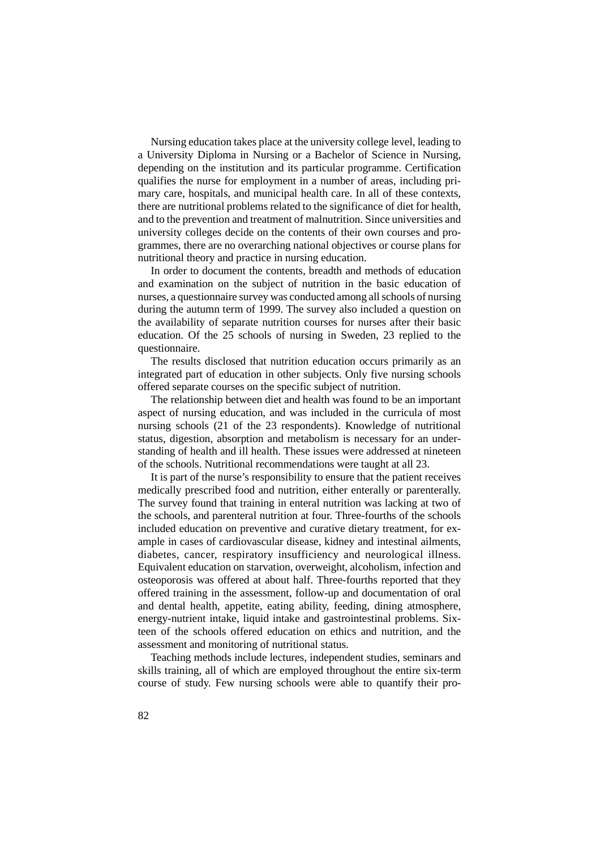Nursing education takes place at the university college level, leading to a University Diploma in Nursing or a Bachelor of Science in Nursing, depending on the institution and its particular programme. Certification qualifies the nurse for employment in a number of areas, including primary care, hospitals, and municipal health care. In all of these contexts, there are nutritional problems related to the significance of diet for health, and to the prevention and treatment of malnutrition. Since universities and university colleges decide on the contents of their own courses and programmes, there are no overarching national objectives or course plans for nutritional theory and practice in nursing education.

In order to document the contents, breadth and methods of education and examination on the subject of nutrition in the basic education of nurses, a questionnaire survey was conducted among all schools of nursing during the autumn term of 1999. The survey also included a question on the availability of separate nutrition courses for nurses after their basic education. Of the 25 schools of nursing in Sweden, 23 replied to the questionnaire.

The results disclosed that nutrition education occurs primarily as an integrated part of education in other subjects. Only five nursing schools offered separate courses on the specific subject of nutrition.

The relationship between diet and health was found to be an important aspect of nursing education, and was included in the curricula of most nursing schools (21 of the 23 respondents). Knowledge of nutritional status, digestion, absorption and metabolism is necessary for an understanding of health and ill health. These issues were addressed at nineteen of the schools. Nutritional recommendations were taught at all 23.

It is part of the nurse's responsibility to ensure that the patient receives medically prescribed food and nutrition, either enterally or parenterally. The survey found that training in enteral nutrition was lacking at two of the schools, and parenteral nutrition at four. Three-fourths of the schools included education on preventive and curative dietary treatment, for example in cases of cardiovascular disease, kidney and intestinal ailments, diabetes, cancer, respiratory insufficiency and neurological illness. Equivalent education on starvation, overweight, alcoholism, infection and osteoporosis was offered at about half. Three-fourths reported that they offered training in the assessment, follow-up and documentation of oral and dental health, appetite, eating ability, feeding, dining atmosphere, energy-nutrient intake, liquid intake and gastrointestinal problems. Sixteen of the schools offered education on ethics and nutrition, and the assessment and monitoring of nutritional status.

Teaching methods include lectures, independent studies, seminars and skills training, all of which are employed throughout the entire six-term course of study. Few nursing schools were able to quantify their pro-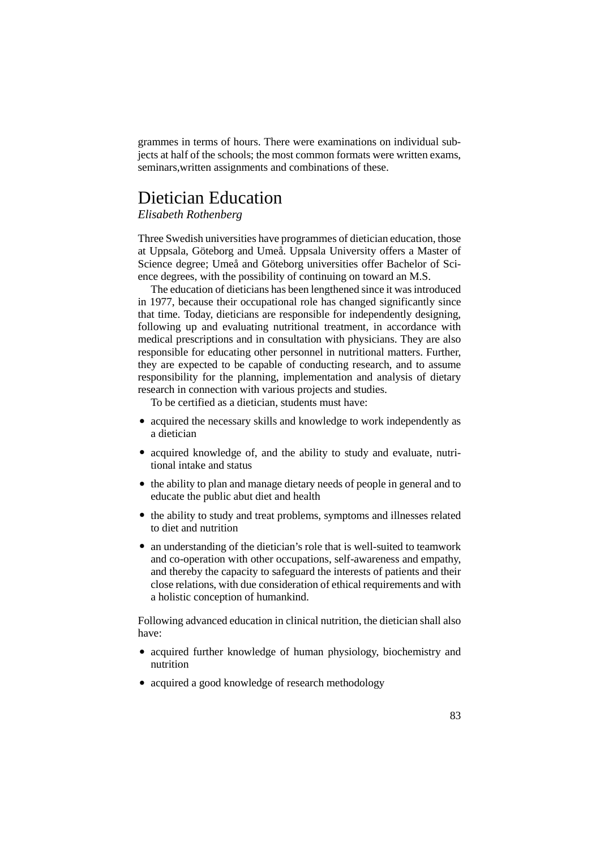grammes in terms of hours. There were examinations on individual subjects at half of the schools; the most common formats were written exams, seminars,written assignments and combinations of these.

## Dietician Education

*Elisabeth Rothenberg*

Three Swedish universities have programmes of dietician education, those at Uppsala, Göteborg and Umeå. Uppsala University offers a Master of Science degree; Umeå and Göteborg universities offer Bachelor of Science degrees, with the possibility of continuing on toward an M.S.

The education of dieticians has been lengthened since it was introduced in 1977, because their occupational role has changed significantly since that time. Today, dieticians are responsible for independently designing, following up and evaluating nutritional treatment, in accordance with medical prescriptions and in consultation with physicians. They are also responsible for educating other personnel in nutritional matters. Further, they are expected to be capable of conducting research, and to assume responsibility for the planning, implementation and analysis of dietary research in connection with various projects and studies.

To be certified as a dietician, students must have:

- acquired the necessary skills and knowledge to work independently as a dietician
- acquired knowledge of, and the ability to study and evaluate, nutritional intake and status
- the ability to plan and manage dietary needs of people in general and to educate the public abut diet and health
- the ability to study and treat problems, symptoms and illnesses related to diet and nutrition
- an understanding of the dietician's role that is well-suited to teamwork and co-operation with other occupations, self-awareness and empathy, and thereby the capacity to safeguard the interests of patients and their close relations, with due consideration of ethical requirements and with a holistic conception of humankind.

Following advanced education in clinical nutrition, the dietician shall also have:

- acquired further knowledge of human physiology, biochemistry and nutrition
- acquired a good knowledge of research methodology